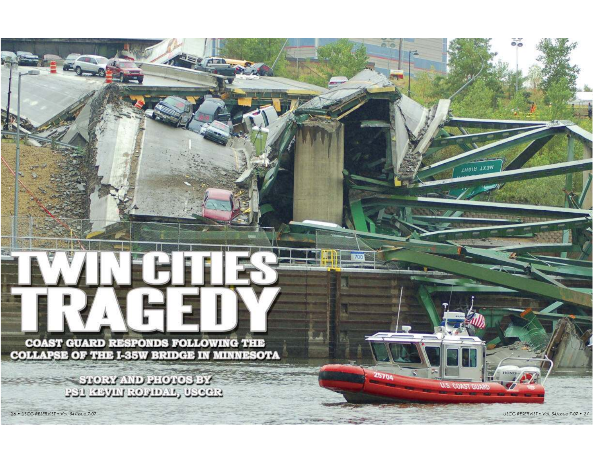**COAST GUARD RESPONDS FOLLOWING THE COLLAPSE OF THE I-35W BRIDGE IN MINNESOTA** 

> STORY AND PHOTOS BY **BST READY POMOVE ARGER**

26 • USCG RESERVIST • Vol. 54/Issue 7-07 USCG RESERVIST • Vol. 54/Issue 7-07 • 27